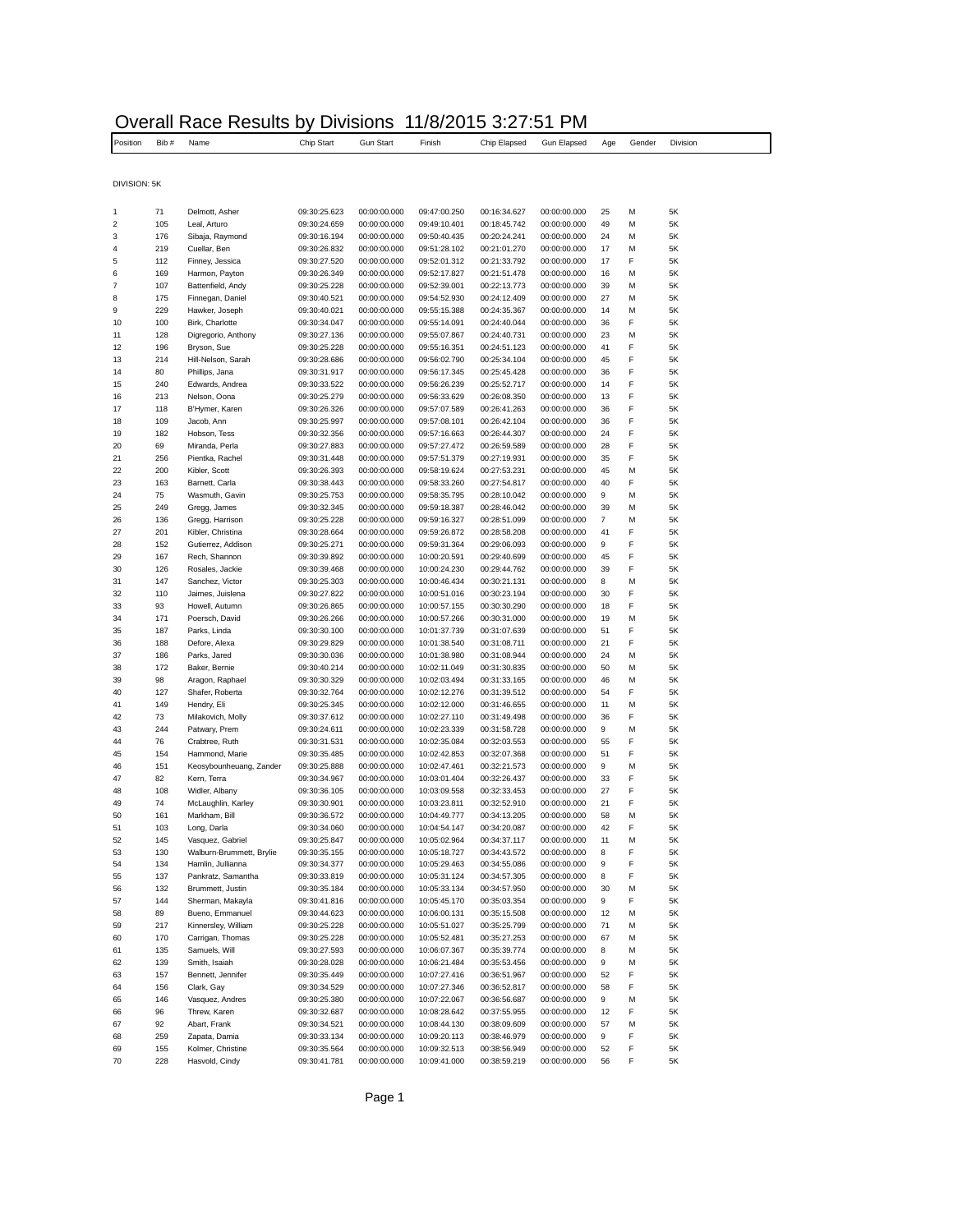| Overall Race Results by Divisions 11/8/2015 3:27:51 PM |            |                                        |                              |                              |                              |                              |                              |          |        |          |  |
|--------------------------------------------------------|------------|----------------------------------------|------------------------------|------------------------------|------------------------------|------------------------------|------------------------------|----------|--------|----------|--|
| Position                                               | Bib#       | Name                                   | Chip Start                   | <b>Gun Start</b>             | Finish                       | Chip Elapsed                 | Gun Elapsed                  | Age      | Gender | Division |  |
|                                                        |            |                                        |                              |                              |                              |                              |                              |          |        |          |  |
| DIVISION: 5K                                           |            |                                        |                              |                              |                              |                              |                              |          |        |          |  |
|                                                        |            |                                        |                              |                              |                              |                              |                              |          |        |          |  |
| 1<br>$\overline{\mathbf{c}}$                           | 71<br>105  | Delmott, Asher<br>Leal, Arturo         | 09:30:25.623<br>09:30:24.659 | 00:00:00.000<br>00:00:00.000 | 09:47:00.250<br>09:49:10.401 | 00:16:34.627<br>00:18:45.742 | 00:00:00.000<br>00:00:00.000 | 25<br>49 | M<br>М | 5K<br>5K |  |
| 3                                                      | 176        | Sibaja, Raymond                        | 09:30:16.194                 | 00:00:00.000                 | 09:50:40.435                 | 00:20:24.241                 | 00:00:00.000                 | 24       | M      | 5K       |  |
| 4                                                      | 219        | Cuellar, Ben                           | 09:30:26.832                 | 00:00:00.000                 | 09:51:28.102                 | 00:21:01.270                 | 00:00:00.000                 | 17       | M      | 5K       |  |
| 5                                                      | 112        | Finney, Jessica                        | 09:30:27.520                 | 00:00:00.000                 | 09:52:01.312                 | 00:21:33.792                 | 00:00:00.000                 | 17       | F      | 5K       |  |
| 6                                                      | 169        | Harmon, Payton                         | 09:30:26.349                 | 00:00:00.000                 | 09:52:17.827                 | 00:21:51.478                 | 00:00:00.000                 | 16       | M      | 5K       |  |
| $\overline{7}$                                         | 107        | Battenfield, Andy                      | 09:30:25.228                 | 00:00:00.000                 | 09:52:39.001                 | 00:22:13.773                 | 00:00:00.000                 | 39       | M      | 5K       |  |
| 8<br>9                                                 | 175<br>229 | Finnegan, Daniel<br>Hawker, Joseph     | 09:30:40.521<br>09:30:40.021 | 00:00:00.000<br>00:00:00.000 | 09:54:52.930<br>09:55:15.388 | 00:24:12.409<br>00:24:35.367 | 00:00:00.000<br>00:00:00.000 | 27<br>14 | M<br>M | 5K<br>5K |  |
| 10                                                     | 100        | Birk, Charlotte                        | 09:30:34.047                 | 00:00:00.000                 | 09:55:14.091                 | 00:24:40.044                 | 00:00:00.000                 | 36       | F      | 5K       |  |
| 11                                                     | 128        | Digregorio, Anthony                    | 09:30:27.136                 | 00:00:00.000                 | 09:55:07.867                 | 00:24:40.731                 | 00:00:00.000                 | 23       | M      | 5K       |  |
| 12                                                     | 196        | Bryson, Sue                            | 09:30:25.228                 | 00:00:00.000                 | 09:55:16.351                 | 00:24:51.123                 | 00:00:00.000                 | 41       | F      | 5K       |  |
| 13                                                     | 214        | Hill-Nelson, Sarah                     | 09:30:28.686                 | 00:00:00.000                 | 09:56:02.790                 | 00:25:34.104                 | 00:00:00.000                 | 45       | F      | 5K       |  |
| 14                                                     | 80         | Phillips, Jana                         | 09:30:31.917                 | 00:00:00.000                 | 09:56:17.345                 | 00:25:45.428                 | 00:00:00.000                 | 36       | F      | 5K       |  |
| 15                                                     | 240        | Edwards, Andrea                        | 09:30:33.522                 | 00:00:00.000                 | 09:56:26.239                 | 00:25:52.717                 | 00:00:00.000                 | 14       | F<br>F | 5K       |  |
| 16<br>17                                               | 213<br>118 | Nelson, Oona<br>B'Hymer, Karen         | 09:30:25.279<br>09:30:26.326 | 00:00:00.000<br>00:00:00.000 | 09:56:33.629<br>09:57:07.589 | 00:26:08.350<br>00:26:41.263 | 00:00:00.000<br>00:00:00.000 | 13<br>36 | F      | 5K<br>5K |  |
| 18                                                     | 109        | Jacob, Ann                             | 09:30:25.997                 | 00:00:00.000                 | 09:57:08.101                 | 00:26:42.104                 | 00:00:00.000                 | 36       | F      | 5K       |  |
| 19                                                     | 182        | Hobson, Tess                           | 09:30:32.356                 | 00:00:00.000                 | 09:57:16.663                 | 00:26:44.307                 | 00:00:00.000                 | 24       | F      | 5K       |  |
| 20                                                     | 69         | Miranda, Perla                         | 09:30:27.883                 | 00:00:00.000                 | 09:57:27.472                 | 00:26:59.589                 | 00:00:00.000                 | 28       | F      | 5K       |  |
| 21                                                     | 256        | Pientka, Rachel                        | 09:30:31.448                 | 00:00:00.000                 | 09:57:51.379                 | 00:27:19.931                 | 00:00:00.000                 | 35       | F      | 5K       |  |
| 22                                                     | 200        | Kibler, Scott                          | 09:30:26.393                 | 00:00:00.000                 | 09:58:19.624                 | 00:27:53.231                 | 00:00:00.000                 | 45       | М      | 5K       |  |
| 23                                                     | 163        | Barnett, Carla                         | 09:30:38.443                 | 00:00:00.000                 | 09:58:33.260                 | 00:27:54.817                 | 00:00:00.000                 | 40       | F      | 5K       |  |
| 24<br>25                                               | 75<br>249  | Wasmuth, Gavin<br>Gregg, James         | 09:30:25.753<br>09:30:32.345 | 00:00:00.000<br>00:00:00.000 | 09:58:35.795<br>09:59:18.387 | 00:28:10.042<br>00:28:46.042 | 00:00:00.000<br>00:00:00.000 | 9<br>39  | M<br>M | 5K<br>5K |  |
| 26                                                     | 136        | Gregg, Harrison                        | 09:30:25.228                 | 00:00:00.000                 | 09:59:16.327                 | 00:28:51.099                 | 00:00:00.000                 | 7        | M      | 5K       |  |
| 27                                                     | 201        | Kibler, Christina                      | 09:30:28.664                 | 00:00:00.000                 | 09:59:26.872                 | 00:28:58.208                 | 00:00:00.000                 | 41       | F      | 5K       |  |
| 28                                                     | 152        | Gutierrez, Addison                     | 09:30:25.271                 | 00:00:00.000                 | 09:59:31.364                 | 00:29:06.093                 | 00:00:00.000                 | 9        | F      | 5K       |  |
| 29                                                     | 167        | Rech, Shannon                          | 09:30:39.892                 | 00:00:00.000                 | 10:00:20.591                 | 00:29:40.699                 | 00:00:00.000                 | 45       | F      | 5K       |  |
| 30                                                     | 126        | Rosales, Jackie                        | 09:30:39.468                 | 00:00:00.000                 | 10:00:24.230                 | 00:29:44.762                 | 00:00:00.000                 | 39       | F      | 5K       |  |
| 31                                                     | 147        | Sanchez, Victor                        | 09:30:25.303                 | 00:00:00.000                 | 10:00:46.434                 | 00:30:21.131                 | 00:00:00.000                 | 8        | M      | 5K       |  |
| 32<br>33                                               | 110<br>93  | Jaimes, Juislena<br>Howell, Autumn     | 09:30:27.822<br>09:30:26.865 | 00:00:00.000<br>00:00:00.000 | 10:00:51.016<br>10:00:57.155 | 00:30:23.194<br>00:30:30.290 | 00:00:00.000<br>00:00:00.000 | 30<br>18 | F<br>F | 5K<br>5K |  |
| 34                                                     | 171        | Poersch, David                         | 09:30:26.266                 | 00:00:00.000                 | 10:00:57.266                 | 00:30:31.000                 | 00:00:00.000                 | 19       | M      | 5K       |  |
| 35                                                     | 187        | Parks, Linda                           | 09:30:30.100                 | 00:00:00.000                 | 10:01:37.739                 | 00:31:07.639                 | 00:00:00.000                 | 51       | F      | 5K       |  |
| 36                                                     | 188        | Defore, Alexa                          | 09:30:29.829                 | 00:00:00.000                 | 10:01:38.540                 | 00:31:08.711                 | 00:00:00.000                 | 21       | F      | 5K       |  |
| 37                                                     | 186        | Parks, Jared                           | 09:30:30.036                 | 00:00:00.000                 | 10:01:38.980                 | 00:31:08.944                 | 00:00:00.000                 | 24       | M      | 5K       |  |
| 38                                                     | 172        | Baker, Bernie                          | 09:30:40.214                 | 00:00:00.000                 | 10:02:11.049                 | 00:31:30.835                 | 00:00:00.000                 | 50       | M      | 5K       |  |
| 39                                                     | 98         | Aragon, Raphael                        | 09:30:30.329                 | 00:00:00.000                 | 10:02:03.494                 | 00:31:33.165                 | 00:00:00.000                 | 46       | M      | 5K       |  |
| 40<br>41                                               | 127<br>149 | Shafer, Roberta<br>Hendry, Eli         | 09:30:32.764<br>09:30:25.345 | 00:00:00.000<br>00:00:00.000 | 10:02:12.276<br>10:02:12.000 | 00:31:39.512<br>00:31:46.655 | 00:00:00.000<br>00:00:00.000 | 54<br>11 | F<br>М | 5K<br>5K |  |
| 42                                                     | 73         | Milakovich, Molly                      | 09:30:37.612                 | 00:00:00.000                 | 10:02:27.110                 | 00:31:49.498                 | 00:00:00.000                 | 36       | F      | 5K       |  |
| 43                                                     | 244        | Patwary, Prem                          | 09:30:24.611                 | 00:00:00.000                 | 10:02:23.339                 | 00:31:58.728                 | 00:00:00.000                 | 9        | M      | 5K       |  |
| 44                                                     | 76         | Crabtree, Ruth                         | 09:30:31.531                 | 00:00:00.000                 | 10:02:35.084                 | 00:32:03.553                 | 00:00:00.000                 | 55       | F      | 5K       |  |
| 45                                                     | 154        | Hammond, Marie                         | 09:30:35.485                 | 00:00:00.000                 | 10:02:42.853                 | 00:32:07.368                 | 00:00:00.000                 | 51       | F      | 5K       |  |
| 46                                                     | 151        | Keosybounheuang, Zander                | 09:30:25.888                 | 00:00:00.000                 | 10:02:47.461                 | 00:32:21.573                 | 00:00:00.000                 | 9        | М      | 5K       |  |
| 47<br>48                                               | 82<br>108  | Kern, Terra                            | 09:30:34.967                 | 00:00:00.000<br>00:00:00.000 | 10:03:01.404                 | 00:32:26.437                 | 00:00:00.000<br>00:00:00.000 | 33<br>27 | F<br>F | 5K<br>5K |  |
| 49                                                     | 74         | Widler, Albany<br>McLaughlin, Karley   | 09:30:36.105<br>09:30:30.901 | 00:00:00.000                 | 10:03:09.558<br>10:03:23.811 | 00:32:33.453<br>00:32:52.910 | 00:00:00.000                 | 21       | F      | 5K       |  |
| 50                                                     | 161        | Markham, Bill                          | 09:30:36.572                 | 00:00:00.000                 | 10:04:49.777                 | 00:34:13.205                 | 00:00:00.000                 | 58       | М      | 5K       |  |
| 51                                                     | 103        | Long, Darla                            | 09:30:34.060                 | 00:00:00.000                 | 10:04:54.147                 | 00:34:20.087                 | 00:00:00.000                 | 42       | F      | 5K       |  |
| 52                                                     | 145        | Vasquez, Gabriel                       | 09:30:25.847                 | 00:00:00.000                 | 10:05:02.964                 | 00:34:37.117                 | 00:00:00.000                 | 11       | М      | 5K       |  |
| 53                                                     | 130        | Walburn-Brummett, Brylie               | 09:30:35.155                 | 00:00:00.000                 | 10:05:18.727                 | 00:34:43.572                 | 00:00:00.000                 | 8        | F      | 5K       |  |
| 54                                                     | 134        | Hamlin, Jullianna                      | 09:30:34.377                 | 00:00:00.000                 | 10:05:29.463                 | 00:34:55.086                 | 00:00:00.000                 | 9        | F      | 5K       |  |
| 55                                                     | 137<br>132 | Pankratz, Samantha<br>Brummett, Justin | 09:30:33.819<br>09:30:35.184 | 00:00:00.000<br>00:00:00.000 | 10:05:31.124                 | 00:34:57.305<br>00:34:57.950 | 00:00:00.000<br>00:00:00.000 | 8        | F      | 5K<br>5K |  |
| 56<br>57                                               | 144        | Sherman, Makayla                       | 09:30:41.816                 | 00:00:00.000                 | 10:05:33.134<br>10:05:45.170 | 00:35:03.354                 | 00:00:00.000                 | 30<br>9  | М<br>F | 5K       |  |
| 58                                                     | 89         | Bueno, Emmanuel                        | 09:30:44.623                 | 00:00:00.000                 | 10:06:00.131                 | 00:35:15.508                 | 00:00:00.000                 | 12       | М      | 5K       |  |
| 59                                                     | 217        | Kinnersley, William                    | 09:30:25.228                 | 00:00:00.000                 | 10:05:51.027                 | 00:35:25.799                 | 00:00:00.000                 | 71       | М      | 5K       |  |
| 60                                                     | 170        | Carrigan, Thomas                       | 09:30:25.228                 | 00:00:00.000                 | 10:05:52.481                 | 00:35:27.253                 | 00:00:00.000                 | 67       | М      | 5K       |  |
| 61                                                     | 135        | Samuels, Will                          | 09:30:27.593                 | 00:00:00.000                 | 10:06:07.367                 | 00:35:39.774                 | 00:00:00.000                 | 8        | М      | 5K       |  |
| 62                                                     | 139        | Smith, Isaiah                          | 09:30:28.028                 | 00:00:00.000                 | 10:06:21.484                 | 00:35:53.456                 | 00:00:00.000                 | 9        | М      | 5K       |  |
| 63                                                     | 157        | Bennett, Jennifer                      | 09:30:35.449                 | 00:00:00.000                 | 10:07:27.416                 | 00:36:51.967                 | 00:00:00.000                 | 52       | F      | 5K       |  |
| 64<br>65                                               | 156<br>146 | Clark, Gay<br>Vasquez, Andres          | 09:30:34.529<br>09:30:25.380 | 00:00:00.000<br>00:00:00.000 | 10:07:27.346<br>10:07:22.067 | 00:36:52.817<br>00:36:56.687 | 00:00:00.000<br>00:00:00.000 | 58<br>9  | F<br>М | 5K<br>5K |  |
| 66                                                     | 96         | Threw, Karen                           | 09:30:32.687                 | 00:00:00.000                 | 10:08:28.642                 | 00:37:55.955                 | 00:00:00.000                 | 12       | F      | 5K       |  |
| 67                                                     | 92         | Abart, Frank                           | 09:30:34.521                 | 00:00:00.000                 | 10:08:44.130                 | 00:38:09.609                 | 00:00:00.000                 | 57       | M      | 5K       |  |
| 68                                                     | 259        | Zapata, Damia                          | 09:30:33.134                 | 00:00:00.000                 | 10:09:20.113                 | 00:38:46.979                 | 00:00:00.000                 | 9        | F      | 5K       |  |
| 69                                                     | 155        | Kolmer, Christine                      | 09:30:35.564                 | 00:00:00.000                 | 10:09:32.513                 | 00:38:56.949                 | 00:00:00.000                 | 52       | F      | 5K       |  |
| 70                                                     | 228        | Hasvold, Cindy                         | 09:30:41.781                 | 00:00:00.000                 | 10:09:41.000                 | 00:38:59.219                 | 00:00:00.000                 | 56       | F      | 5K       |  |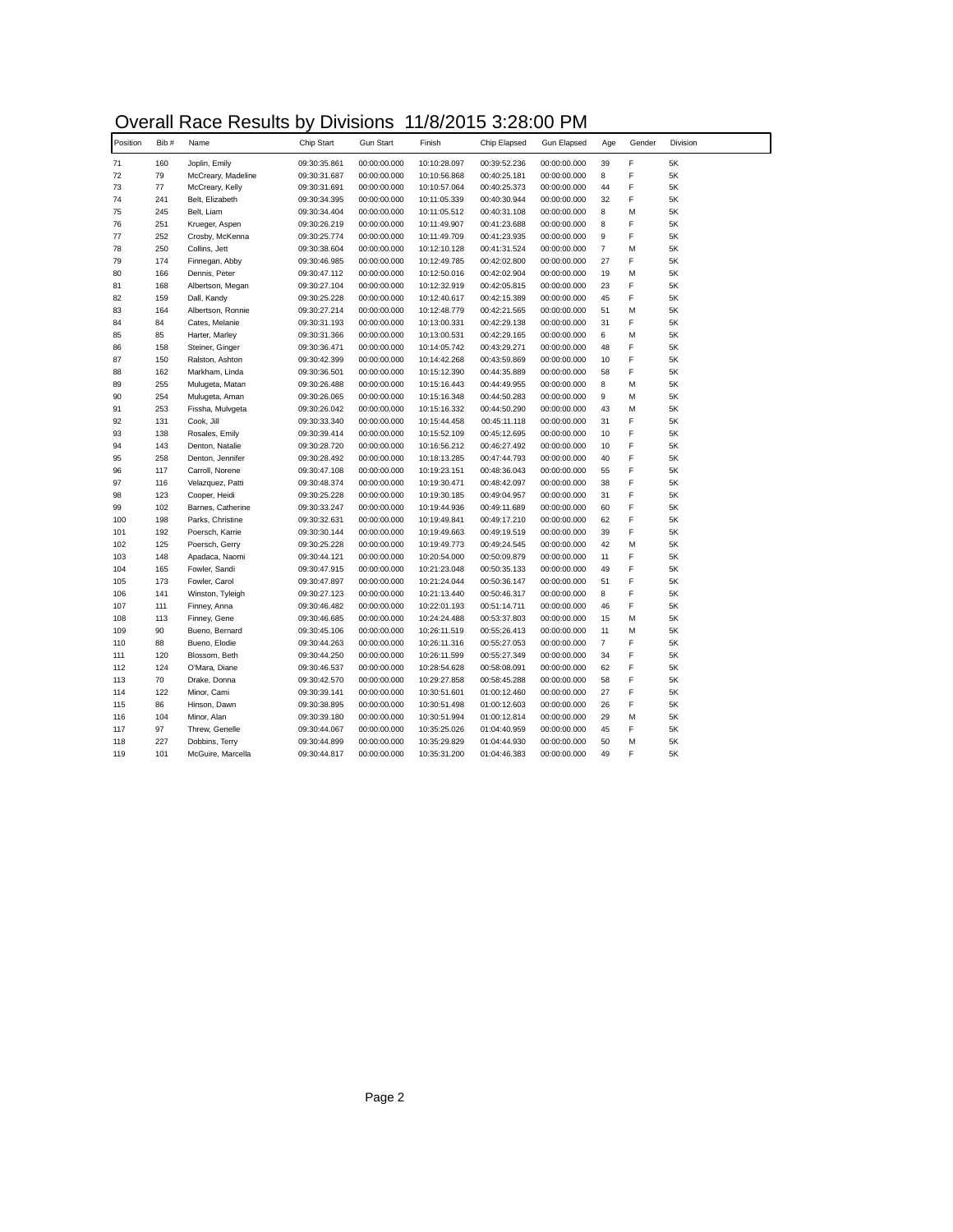## Overall Race Results by Divisions 11/8/2015 3:28:00 PM

| Position | Bib# | Name               | Chip Start   | <b>Gun Start</b> | Finish       | Chip Elapsed | Gun Elapsed  | Age            | Gender | Division |
|----------|------|--------------------|--------------|------------------|--------------|--------------|--------------|----------------|--------|----------|
| 71       | 160  | Joplin, Emily      | 09:30:35.861 | 00:00:00.000     | 10:10:28.097 | 00:39:52.236 | 00:00:00.000 | 39             | F      | 5K       |
| 72       | 79   | McCreary, Madeline | 09:30:31.687 | 00:00:00.000     | 10:10:56.868 | 00:40:25.181 | 00:00:00.000 | 8              | F      | $5K$     |
| 73       | 77   | McCreary, Kelly    | 09:30:31.691 | 00:00:00.000     | 10:10:57.064 | 00:40:25.373 | 00:00:00.000 | 44             | F      | 5K       |
| 74       | 241  | Belt, Elizabeth    | 09:30:34.395 | 00:00:00.000     | 10:11:05.339 | 00:40:30.944 | 00:00:00.000 | 32             | F      | 5K       |
| 75       | 245  | Belt, Liam         | 09:30:34.404 | 00:00:00.000     | 10:11:05.512 | 00:40:31.108 | 00:00:00.000 | 8              | M      | 5K       |
| 76       | 251  | Krueger, Aspen     | 09:30:26.219 | 00:00:00.000     | 10:11:49.907 | 00:41:23.688 | 00:00:00.000 | 8              | F      | 5K       |
| 77       | 252  | Crosby, McKenna    | 09:30:25.774 | 00:00:00.000     | 10:11:49.709 | 00:41:23.935 | 00:00:00.000 | 9              | F      | 5K       |
| 78       | 250  | Collins, Jett      | 09:30:38.604 | 00:00:00.000     | 10:12:10.128 | 00:41:31.524 | 00:00:00.000 | $\overline{7}$ | M      | 5K       |
| 79       | 174  | Finnegan, Abby     | 09:30:46.985 | 00:00:00.000     | 10:12:49.785 | 00:42:02.800 | 00:00:00.000 | 27             | F      | $5K$     |
| 80       | 166  | Dennis, Peter      | 09:30:47.112 | 00:00:00.000     | 10:12:50.016 | 00:42:02.904 | 00:00:00.000 | 19             | M      | $5K$     |
| 81       | 168  | Albertson, Megan   | 09:30:27.104 | 00:00:00.000     | 10:12:32.919 | 00:42:05.815 | 00:00:00.000 | 23             | F      | 5K       |
| 82       | 159  | Dall, Kandy        | 09:30:25.228 | 00:00:00.000     | 10:12:40.617 | 00:42:15.389 | 00:00:00.000 | 45             | F      | 5K       |
| 83       | 164  | Albertson, Ronnie  | 09:30:27.214 | 00:00:00.000     | 10:12:48.779 | 00:42:21.565 | 00:00:00.000 | 51             | M      | 5K       |
| 84       | 84   | Cates, Melanie     | 09:30:31.193 | 00:00:00.000     | 10:13:00.331 | 00:42:29.138 | 00:00:00.000 | 31             | F      | 5K       |
| 85       | 85   | Harter, Marley     | 09:30:31.366 | 00:00:00.000     | 10:13:00.531 | 00:42:29.165 | 00:00:00.000 | 6              | M      | 5K       |
| 86       | 158  | Steiner, Ginger    | 09:30:36.471 | 00:00:00.000     | 10:14:05.742 | 00:43:29.271 | 00:00:00.000 | 48             | F      | 5K       |
| 87       | 150  | Ralston, Ashton    | 09:30:42.399 | 00:00:00.000     | 10:14:42.268 | 00:43:59.869 | 00:00:00.000 | 10             | F      | 5K       |
| 88       | 162  | Markham, Linda     | 09:30:36.501 | 00:00:00.000     | 10:15:12.390 | 00:44:35.889 | 00:00:00.000 | 58             | F      | 5K       |
| 89       | 255  | Mulugeta, Matan    | 09:30:26.488 | 00:00:00.000     | 10:15:16.443 | 00:44:49.955 | 00:00:00.000 | 8              | M      | 5K       |
| 90       | 254  | Mulugeta, Aman     | 09:30:26.065 | 00:00:00.000     | 10:15:16.348 | 00:44:50.283 | 00:00:00.000 | 9              | M      | 5K       |
| 91       | 253  | Fissha, Mulvgeta   | 09:30:26.042 | 00:00:00.000     | 10:15:16.332 | 00:44:50.290 | 00:00:00.000 | 43             | M      | 5K       |
| 92       | 131  | Cook, Jill         | 09:30:33.340 | 00:00:00.000     | 10:15:44.458 | 00:45:11.118 | 00:00:00.000 | 31             | F      | 5K       |
| 93       | 138  | Rosales, Emily     | 09:30:39.414 | 00:00:00.000     | 10:15:52.109 | 00:45:12.695 | 00:00:00.000 | 10             | F      | 5K       |
| 94       | 143  | Denton, Natalie    | 09:30:28.720 | 00:00:00.000     | 10:16:56.212 | 00:46:27.492 | 00:00:00.000 | 10             | F      | 5K       |
| 95       | 258  | Denton, Jennifer   | 09:30:28.492 | 00:00:00.000     | 10:18:13.285 | 00:47:44.793 | 00:00:00.000 | 40             | F      | $5K$     |
| 96       | 117  | Carroll, Norene    | 09:30:47.108 | 00:00:00.000     | 10:19:23.151 | 00:48:36.043 | 00:00:00.000 | 55             | F      | $5K$     |
| 97       | 116  | Velazquez, Patti   | 09:30:48.374 | 00:00:00.000     | 10:19:30.471 | 00:48:42.097 | 00:00:00.000 | 38             | F      | 5K       |
| 98       | 123  | Cooper, Heidi      | 09:30:25.228 | 00:00:00.000     | 10:19:30.185 | 00:49:04.957 | 00:00:00.000 | 31             | F      | 5K       |
| 99       | 102  | Barnes, Catherine  | 09:30:33.247 | 00:00:00.000     | 10:19:44.936 | 00:49:11.689 | 00:00:00.000 | 60             | F      | 5K       |
| 100      | 198  | Parks, Christine   | 09:30:32.631 | 00:00:00.000     | 10:19:49.841 | 00:49:17.210 | 00:00:00.000 | 62             | F      | 5K       |
| 101      | 192  | Poersch, Karrie    | 09:30:30.144 | 00:00:00.000     | 10:19:49.663 | 00:49:19.519 | 00:00:00.000 | 39             | F      | 5K       |
| 102      | 125  | Poersch, Gerry     | 09:30:25.228 | 00:00:00.000     | 10:19:49.773 | 00:49:24.545 | 00:00:00.000 | 42             | M      | 5K       |
| 103      | 148  | Apadaca, Naomi     | 09:30:44.121 | 00:00:00.000     | 10:20:54.000 | 00:50:09.879 | 00:00:00.000 | 11             | F      | $5K$     |
| 104      | 165  | Fowler, Sandi      | 09:30:47.915 | 00:00:00.000     | 10:21:23.048 | 00:50:35.133 | 00:00:00.000 | 49             | F      | 5K       |
| 105      | 173  | Fowler, Carol      | 09:30:47.897 | 00:00:00.000     | 10:21:24.044 | 00:50:36.147 | 00:00:00.000 | 51             | F      | 5K       |
| 106      | 141  | Winston, Tyleigh   | 09:30:27.123 | 00:00:00.000     | 10:21:13.440 | 00:50:46.317 | 00:00:00.000 | 8              | F      | 5K       |
| 107      | 111  | Finney, Anna       | 09:30:46.482 | 00:00:00.000     | 10:22:01.193 | 00:51:14.711 | 00:00:00.000 | 46             | F      | 5K       |
| 108      | 113  | Finney, Gene       | 09:30:46.685 | 00:00:00.000     | 10:24:24.488 | 00:53:37.803 | 00:00:00.000 | 15             | M      | 5K       |
| 109      | 90   | Bueno, Bernard     | 09:30:45.106 | 00:00:00.000     | 10:26:11.519 | 00:55:26.413 | 00:00:00.000 | 11             | M      | 5K       |
| 110      | 88   | Bueno, Elodie      | 09:30:44.263 | 00:00:00.000     | 10:26:11.316 | 00:55:27.053 | 00:00:00.000 | $\overline{7}$ | F      | $5K$     |
| 111      | 120  | Blossom, Beth      | 09:30:44.250 | 00:00:00.000     | 10:26:11.599 | 00:55:27.349 | 00:00:00.000 | 34             | F      | $5K$     |
| 112      | 124  | O'Mara, Diane      | 09:30:46.537 | 00:00:00.000     | 10:28:54.628 | 00:58:08.091 | 00:00:00.000 | 62             | F      | 5K       |
| 113      | 70   | Drake, Donna       | 09:30:42.570 | 00:00:00.000     | 10:29:27.858 | 00:58:45.288 | 00:00:00.000 | 58             | F      | 5K       |
| 114      | 122  | Minor, Cami        | 09:30:39.141 | 00:00:00.000     | 10:30:51.601 | 01:00:12.460 | 00:00:00.000 | 27             | F      | 5K       |
| 115      | 86   | Hinson, Dawn       | 09:30:38.895 | 00:00:00.000     | 10:30:51.498 | 01:00:12.603 | 00:00:00.000 | 26             | F      | 5K       |
| 116      | 104  | Minor, Alan        | 09:30:39.180 | 00:00:00.000     | 10:30:51.994 | 01:00:12.814 | 00:00:00.000 | 29             | M      | 5K       |
| 117      | 97   | Threw, Genelle     | 09:30:44.067 | 00:00:00.000     | 10:35:25.026 | 01:04:40.959 | 00:00:00.000 | 45             | F      | 5K       |
| 118      | 227  | Dobbins, Terry     | 09:30:44.899 | 00:00:00.000     | 10:35:29.829 | 01:04:44.930 | 00:00:00.000 | 50             | M      | 5K       |
| 119      | 101  | McGuire, Marcella  | 09:30:44.817 | 00:00:00.000     | 10:35:31.200 | 01:04:46.383 | 00:00:00.000 | 49             | F      | $5K$     |
|          |      |                    |              |                  |              |              |              |                |        |          |